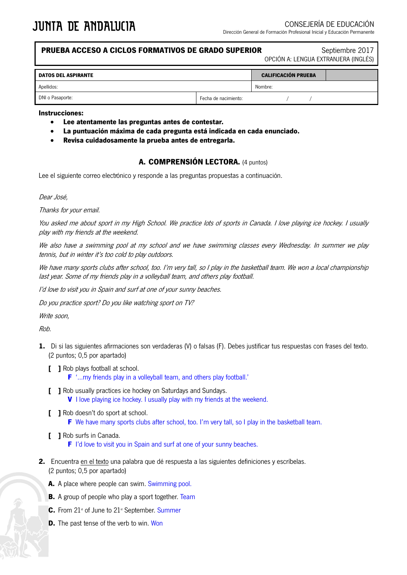## **PRUEBA ACCESO A CICLOS FORMATIVOS DE GRADO SUPERIOR** Septiembre 2017

OPCIÓN A: LENGUA EXTRANJERA (INGLÉS)

| <b>DATOS DEL ASPIRANTE</b> |                      | <b>CALIFICACIÓN PRUEBA</b> |  |
|----------------------------|----------------------|----------------------------|--|
| Apellidos:                 |                      | Nombre:                    |  |
| DNI o Pasaporte:           | Fecha de nacimiento: |                            |  |

#### **Instrucciones:**

- **Lee atentamente las preguntas antes de contestar.**
- **La puntuación máxima de cada pregunta está indicada en cada enunciado.**
- **Revisa cuidadosamente la prueba antes de entregarla.**

### **A. COMPRENSIÓN LECTORA.** (4 puntos)

Lee el siguiente correo electrónico y responde a las preguntas propuestas a continuación.

Dear José,

Thanks for your email.

You asked me about sport in my High School. We practice lots of sports in Canada. I love playing ice hockey. I usually play with my friends at the weekend.

We also have a swimming pool at my school and we have swimming classes every Wednesday. In summer we play tennis, but in winter it's too cold to play outdoors.

We have many sports clubs after school, too. I'm very tall, so I play in the basketball team. We won a local championship last year. Some of my friends play in a volleyball team, and others play football.

I'd love to visit you in Spain and surf at one of your sunny beaches.

Do you practice sport? Do you like watching sport on TV?

Write soon,

Rob.

- **1.** Di si las siguientes afirmaciones son verdaderas (V) o falsas (F). Debes justificar tus respuestas con frases del texto. (2 puntos; 0,5 por apartado)
	- **[ ]** Rob plays football at school.
		- **F** '…my friends play in a volleyball team, and others play football.'
	- **[ ]** Rob usually practices ice hockey on Saturdays and Sundays. **V** I love playing ice hockey. I usually play with my friends at the weekend.
	- **[ ]** Rob doesn't do sport at school. **F** We have many sports clubs after school, too. I'm very tall, so I play in the basketball team.
	- **[ ]** Rob surfs in Canada.

**F** I'd love to visit you in Spain and surf at one of your sunny beaches.

- **2.** Encuentra en el texto una palabra que dé respuesta a las siguientes definiciones y escríbelas. (2 puntos; 0,5 por apartado)
	- **A.** A place where people can swim. Swimming pool.
	- **B.** A group of people who play a sport together. Team
	- **C.** From 21<sup>st</sup> of June to 21<sup>st</sup> September. Summer
	- **D.** The past tense of the verb to win. Won